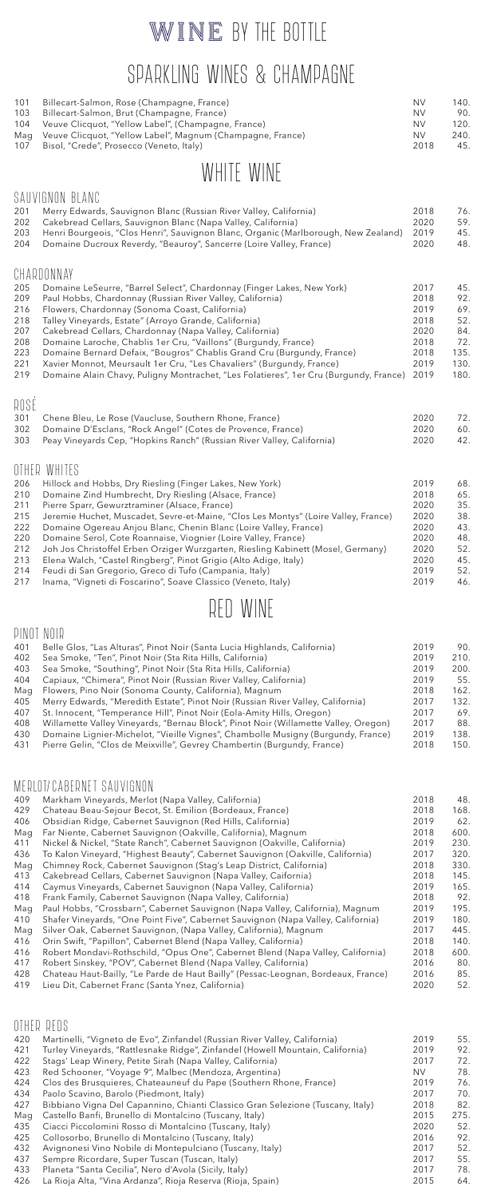## WINE BY THE BOTTLE

# SPARKLING WINES & CHAMPAGNE

| 103<br>Billecart-Salmon, Brut (Champagne, France)<br>104<br>Veuve Clicquot, "Yellow Label", (Champagne, France)<br>Veuve Clicquot, "Yellow Label", Magnum (Champagne, France)<br>Mag<br>107<br>Bisol, "Crede", Prosecco (Veneto, Italy)                                                                                                                                                                                                                                                                                                                                                                                                                                                                                                                                    | <b>NV</b><br><b>NV</b><br><b>NV</b><br>2018                                  | 90.<br>120.<br>240.<br>45.                                         |
|----------------------------------------------------------------------------------------------------------------------------------------------------------------------------------------------------------------------------------------------------------------------------------------------------------------------------------------------------------------------------------------------------------------------------------------------------------------------------------------------------------------------------------------------------------------------------------------------------------------------------------------------------------------------------------------------------------------------------------------------------------------------------|------------------------------------------------------------------------------|--------------------------------------------------------------------|
| WHITE WINE                                                                                                                                                                                                                                                                                                                                                                                                                                                                                                                                                                                                                                                                                                                                                                 |                                                                              |                                                                    |
| SAUVIGNON BLANC<br>201<br>Merry Edwards, Sauvignon Blanc (Russian River Valley, California)<br>202<br>Cakebread Cellars, Sauvignon Blanc (Napa Valley, California)<br>203<br>Henri Bourgeois, "Clos Henri", Sauvignon Blanc, Organic (Marlborough, New Zealand)<br>204<br>Domaine Ducroux Reverdy, "Beauroy", Sancerre (Loire Valley, France)                                                                                                                                                                                                                                                                                                                                                                                                                              | 2018<br>2020<br>2019<br>2020                                                 | 76.<br>59.<br>45.<br>48.                                           |
| CHARDONNAY<br>205<br>Domaine LeSeurre, "Barrel Select", Chardonnay (Finger Lakes, New York)<br>209<br>Paul Hobbs, Chardonnay (Russian River Valley, California)<br>216<br>Flowers, Chardonnay (Sonoma Coast, California)<br>218<br>Talley Vineyards, Estate" (Arroyo Grande, California)<br>207<br>Cakebread Cellars, Chardonnay (Napa Valley, California)<br>208<br>Domaine Laroche, Chablis 1er Cru, "Vaillons" (Burgundy, France)<br>223<br>Domaine Bernard Defaix, "Bougros" Chablis Grand Cru (Burgundy, France)<br>221<br>Xavier Monnot, Meursault 1er Cru, "Les Chavaliers" (Burgundy, France)<br>Domaine Alain Chavy, Puligny Montrachet, "Les Folatieres", 1er Cru (Burgundy, France)<br>219                                                                      | 2017<br>2018<br>2019<br>2018<br>2020<br>2018<br>2018<br>2019<br>2019         | 45.<br>92.<br>69.<br>52.<br>84.<br>72.<br>135.<br>130.<br>180.     |
| ROSÉ<br>301<br>Chene Bleu, Le Rose (Vaucluse, Southern Rhone, France)<br>302<br>Domaine D'Esclans, "Rock Angel" (Cotes de Provence, France)<br>Peay Vineyards Cep, "Hopkins Ranch" (Russian River Valley, California)<br>303                                                                                                                                                                                                                                                                                                                                                                                                                                                                                                                                               | 2020<br>2020<br>2020                                                         | 72.<br>60.<br>42.                                                  |
| OTHER<br>WHITES<br>206<br>Hillock and Hobbs, Dry Riesling (Finger Lakes, New York)<br>210<br>Domaine Zind Humbrecht, Dry Riesling (Alsace, France)<br>211<br>Pierre Sparr, Gewurztraminer (Alsace, France)<br>215<br>Jeremie Huchet, Muscadet, Sevre-et-Maine, "Clos Les Montys" (Loire Valley, France)<br>222<br>Domaine Ogereau Anjou Blanc, Chenin Blanc (Loire Valley, France)<br>220<br>Domaine Serol, Cote Roannaise, Viognier (Loire Valley, France)<br>212<br>Joh Jos Christoffel Erben Orziger Wurzgarten, Riesling Kabinett (Mosel, Germany)<br>213<br>Elena Walch, "Castel Ringberg", Pinot Grigio (Alto Adige, Italy)<br>214<br>Feudi di San Gregorio, Greco di Tufo (Campania, Italy)<br>217<br>Inama, "Vigneti di Foscarino", Soave Classico (Veneto, Italy) | 2019<br>2018<br>2020<br>2020<br>2020<br>2020<br>2020<br>2020<br>2019<br>2019 | 68.<br>65.<br>35.<br>38.<br>43.<br>48.<br>52.<br>45.<br>52.<br>46. |

## RED WINE

### PINOT NOIR

| 401 | Belle Glos, "Las Alturas", Pinot Noir (Santa Lucia Highlands, California)           | 2019 | 90.  |
|-----|-------------------------------------------------------------------------------------|------|------|
| 402 | Sea Smoke, "Ten", Pinot Noir (Sta Rita Hills, California)                           | 2019 | 210. |
| 403 | Sea Smoke, "Southing", Pinot Noir (Sta Rita Hills, California)                      | 2019 | 200. |
| 404 | Capiaux, "Chimera", Pinot Noir (Russian River Valley, California)                   | 2019 | 55.  |
| Mag | Flowers, Pino Noir (Sonoma County, California), Magnum                              | 2018 | 162. |
| 405 | Merry Edwards, "Meredith Estate", Pinot Noir (Russian River Valley, California)     | 2017 | 132. |
| 407 | St. Innocent, "Temperance Hill", Pinot Noir (Eola-Amity Hills, Oregon)              | 2017 | 69.  |
| 408 | Willamette Valley Vineyards, "Bernau Block", Pinot Noir (Willamette Valley, Oregon) | 2017 | 88.  |
| 430 | Domaine Lignier-Michelot, "Vieille Vignes", Chambolle Musigny (Burgundy, France)    | 2019 | 138. |
| 431 | Pierre Gelin, "Clos de Meixville", Gevrey Chambertin (Burgundy, France)             | 2018 | 150. |

### MERLOT/CABERNET SAUVIGNON

| 409 | Markham Vineyards, Merlot (Napa Valley, California)                               | 2018 | 48.  |
|-----|-----------------------------------------------------------------------------------|------|------|
|     |                                                                                   |      |      |
| 429 | Chateau Beau-Sejour Becot, St. Emilion (Bordeaux, France)                         | 2018 | 168. |
| 406 | Obsidian Ridge, Cabernet Sauvignon (Red Hills, California)                        | 2019 | 62.  |
| Mag | Far Niente, Cabernet Sauvignon (Oakville, California), Magnum                     | 2018 | 600. |
| 411 | Nickel & Nickel, "State Ranch", Cabernet Sauvignon (Oakville, California)         | 2019 | 230. |
| 436 | To Kalon Vineyard, "Highest Beauty", Cabernet Sauvignon (Oakville, California)    | 2017 | 320. |
| Mag | Chimney Rock, Cabernet Sauvignon (Stag's Leap District, California)               | 2018 | 330. |
| 413 | Cakebread Cellars, Cabernet Sauvignon (Napa Valley, Caifornia)                    | 2018 | 145. |
| 414 | Caymus Vineyards, Cabernet Sauvignon (Napa Valley, California)                    | 2019 | 165. |
| 418 | Frank Family, Cabernet Sauvignon (Napa Valley, California)                        | 2018 | 92.  |
| Mag | Paul Hobbs, "Crossbarn", Cabernet Sauvignon (Napa Valley, California), Magnum     | 2019 | 195. |
| 410 | Shafer Vineyards, "One Point Five", Cabernet Sauvignon (Napa Valley, California)  | 2019 | 180. |
| Mag | Silver Oak, Cabernet Sauvignon, (Napa Valley, California), Magnum                 | 2017 | 445. |
| 416 | Orin Swift, "Papillon", Cabernet Blend (Napa Valley, California)                  | 2018 | 140. |
| 416 | Robert Mondavi-Rothschild, "Opus One", Cabernet Blend (Napa Valley, California)   | 2018 | 600. |
| 417 | Robert Sinskey, "POV", Cabernet Blend (Napa Valley, California)                   | 2016 | 80.  |
| 428 | Chateau Haut-Bailly, "Le Parde de Haut Bailly" (Pessac-Leognan, Bordeaux, France) | 2016 | 85.  |
| 419 | Lieu Dit, Cabernet Franc (Santa Ynez, California)                                 | 2020 | 52.  |

### OTHER REDS

| 420 | Martinelli, "Vigneto de Evo", Zinfandel (Russian River Valley, California)     | 2019      | 55.  |
|-----|--------------------------------------------------------------------------------|-----------|------|
| 421 | Turley Vineyards, "Rattlesnake Ridge", Zinfandel (Howell Mountain, California) | 2019      | 92.  |
|     |                                                                                |           |      |
| 422 | Stags' Leap Winery, Petite Sirah (Napa Valley, California)                     | 2017      | 72.  |
| 423 | Red Schooner, "Voyage 9", Malbec (Mendoza, Argentina)                          | <b>NV</b> | 78.  |
| 424 | Clos des Brusquieres, Chateauneuf du Pape (Southern Rhone, France)             | 2019      | 76.  |
| 434 | Paolo Scavino, Barolo (Piedmont, Italy)                                        | 2017      | 70.  |
| 427 | Bibbiano Vigna Del Capannino, Chianti Classico Gran Selezione (Tuscany, Italy) | 2018      | 82.  |
| Mag | Castello Banfi, Brunello di Montalcino (Tuscany, Italy)                        | 2015      | 275. |
| 435 | Ciacci Piccolomini Rosso di Montalcino (Tuscany, Italy)                        | 2020      | 52.  |
| 425 | Collosorbo, Brunello di Montalcino (Tuscany, Italy)                            | 2016      | 92.  |
| 432 | Avignonesi Vino Nobile di Montepulciano (Tuscany, Italy)                       | 2017      | 52.  |
| 437 | Sempre Ricordare, Super Tuscan (Tuscan, Italy)                                 | 2017      | 55.  |
| 433 | Planeta "Santa Cecilia", Nero d'Avola (Sicily, Italy)                          | 2017      | 78.  |
| 426 | La Rioja Alta, "Vina Ardanza", Rioja Reserva (Rioja, Spain)                    | 2015      | 64.  |
|     |                                                                                |           |      |